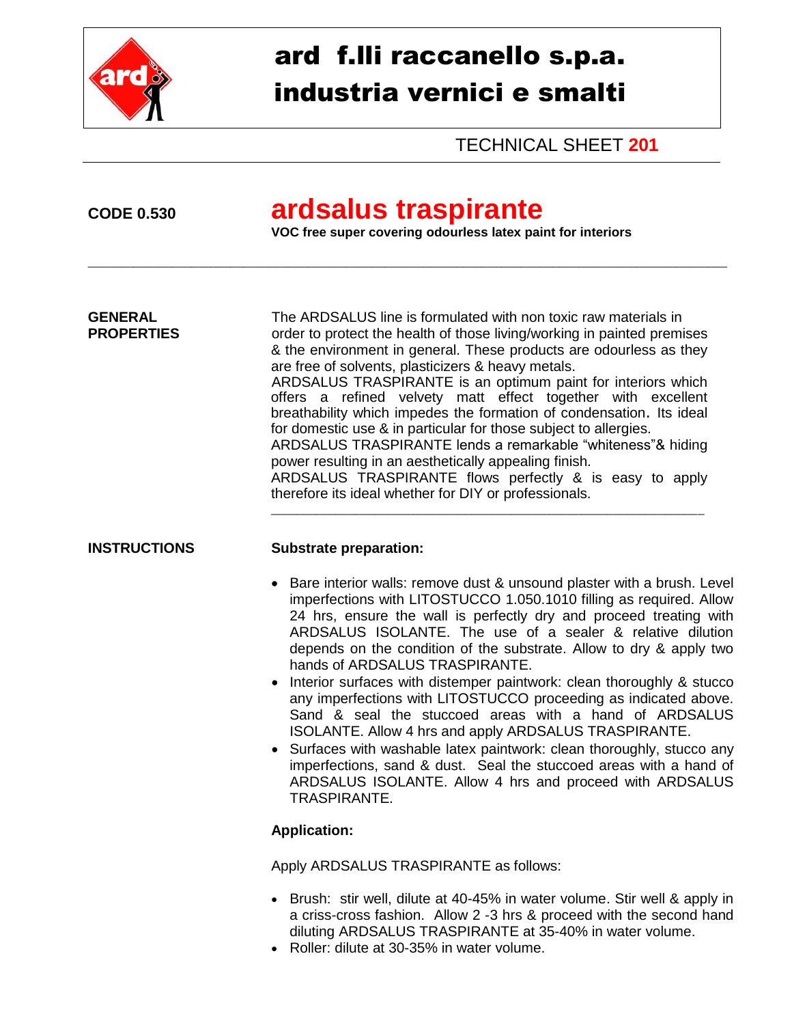

# ard f.lli raccanello s.p.a. industria vernici e smalti

TECHNICAL SHEET **201**

# **CODE 0.530 ardsalus traspirante**

\_\_\_\_\_\_\_\_\_\_\_\_\_\_\_\_\_\_\_\_\_\_\_\_\_\_\_\_\_\_\_\_\_\_\_\_\_\_\_\_\_\_\_\_\_\_\_\_\_\_\_\_\_\_\_\_\_\_\_\_\_\_\_\_\_\_\_\_\_\_\_\_\_\_\_\_\_\_\_\_\_\_\_\_\_\_\_\_\_\_\_\_\_\_\_\_\_\_\_

**VOC free super covering odourless latex paint for interiors**

**GENERAL** The ARDSALUS line is formulated with non toxic raw materials in **PROPERTIES** order to protect the health of those living/working in painted premises & the environment in general. These products are odourless as they are free of solvents, plasticizers & heavy metals. ARDSALUS TRASPIRANTE is an optimum paint for interiors which offers a refined velvety matt effect together with excellent breathability which impedes the formation of condensation. Its ideal

> for domestic use & in particular for those subject to allergies. ARDSALUS TRASPIRANTE lends a remarkable "whiteness"& hiding power resulting in an aesthetically appealing finish.

> ARDSALUS TRASPIRANTE flows perfectly & is easy to apply therefore its ideal whether for DIY or professionals. \_\_\_\_\_\_\_\_\_\_\_\_\_\_\_\_\_\_\_\_\_\_\_\_\_\_\_\_\_\_\_\_\_\_\_\_\_\_\_\_\_\_\_\_\_\_\_\_\_\_\_\_\_\_\_\_\_\_\_\_\_\_\_\_\_\_\_

### **INSTRUCTIONS Substrate preparation:**

- Bare interior walls: remove dust & unsound plaster with a brush. Level imperfections with LITOSTUCCO 1.050.1010 filling as required. Allow 24 hrs, ensure the wall is perfectly dry and proceed treating with ARDSALUS ISOLANTE. The use of a sealer & relative dilution depends on the condition of the substrate. Allow to dry & apply two hands of ARDSALUS TRASPIRANTE.
- Interior surfaces with distemper paintwork: clean thoroughly & stucco any imperfections with LITOSTUCCO proceeding as indicated above. Sand & seal the stuccoed areas with a hand of ARDSALUS ISOLANTE. Allow 4 hrs and apply ARDSALUS TRASPIRANTE.
- Surfaces with washable latex paintwork: clean thoroughly, stucco any imperfections, sand & dust. Seal the stuccoed areas with a hand of ARDSALUS ISOLANTE. Allow 4 hrs and proceed with ARDSALUS TRASPIRANTE.

# **Application:**

Apply ARDSALUS TRASPIRANTE as follows:

- Brush: stir well, dilute at 40-45% in water volume. Stir well & apply in a criss-cross fashion. Allow 2 -3 hrs & proceed with the second hand diluting ARDSALUS TRASPIRANTE at 35-40% in water volume.
- Roller: dilute at 30-35% in water volume.